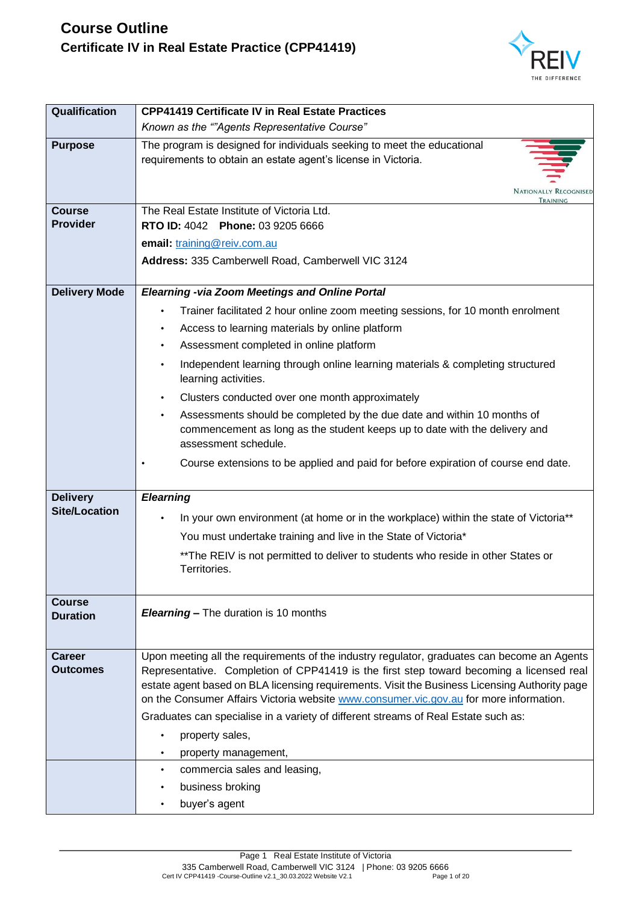

| Qualification             | <b>CPP41419 Certificate IV in Real Estate Practices</b>                                                                                                                                    |
|---------------------------|--------------------------------------------------------------------------------------------------------------------------------------------------------------------------------------------|
|                           | Known as the ""Agents Representative Course"                                                                                                                                               |
| <b>Purpose</b>            | The program is designed for individuals seeking to meet the educational<br>requirements to obtain an estate agent's license in Victoria.<br><b>NATIONALLY RECOGNISED</b>                   |
| <b>Course</b>             | TRAINING<br>The Real Estate Institute of Victoria Ltd.                                                                                                                                     |
| <b>Provider</b>           | RTO ID: 4042 Phone: 03 9205 6666                                                                                                                                                           |
|                           | email: training@reiv.com.au                                                                                                                                                                |
|                           | Address: 335 Camberwell Road, Camberwell VIC 3124                                                                                                                                          |
| <b>Delivery Mode</b>      | <b>Elearning -via Zoom Meetings and Online Portal</b>                                                                                                                                      |
|                           | Trainer facilitated 2 hour online zoom meeting sessions, for 10 month enrolment<br>$\bullet$                                                                                               |
|                           | Access to learning materials by online platform                                                                                                                                            |
|                           | Assessment completed in online platform                                                                                                                                                    |
|                           | Independent learning through online learning materials & completing structured<br>$\bullet$<br>learning activities.                                                                        |
|                           | Clusters conducted over one month approximately                                                                                                                                            |
|                           | Assessments should be completed by the due date and within 10 months of<br>$\bullet$<br>commencement as long as the student keeps up to date with the delivery and<br>assessment schedule. |
|                           | Course extensions to be applied and paid for before expiration of course end date.                                                                                                         |
| <b>Delivery</b>           | <b>Elearning</b>                                                                                                                                                                           |
| <b>Site/Location</b>      | In your own environment (at home or in the workplace) within the state of Victoria**                                                                                                       |
|                           | You must undertake training and live in the State of Victoria*                                                                                                                             |
|                           | ** The REIV is not permitted to deliver to students who reside in other States or<br>Territories.                                                                                          |
| Course<br><b>Duration</b> | <b>Elearning - The duration is 10 months</b>                                                                                                                                               |
| <b>Career</b>             | Upon meeting all the requirements of the industry regulator, graduates can become an Agents                                                                                                |
| <b>Outcomes</b>           | Representative. Completion of CPP41419 is the first step toward becoming a licensed real<br>estate agent based on BLA licensing requirements. Visit the Business Licensing Authority page  |
|                           | on the Consumer Affairs Victoria website www.consumer.vic.gov.au for more information.                                                                                                     |
|                           | Graduates can specialise in a variety of different streams of Real Estate such as:                                                                                                         |
|                           | property sales,                                                                                                                                                                            |
|                           | property management,                                                                                                                                                                       |
|                           | commercia sales and leasing,<br>$\bullet$                                                                                                                                                  |
|                           | business broking                                                                                                                                                                           |
|                           | buyer's agent                                                                                                                                                                              |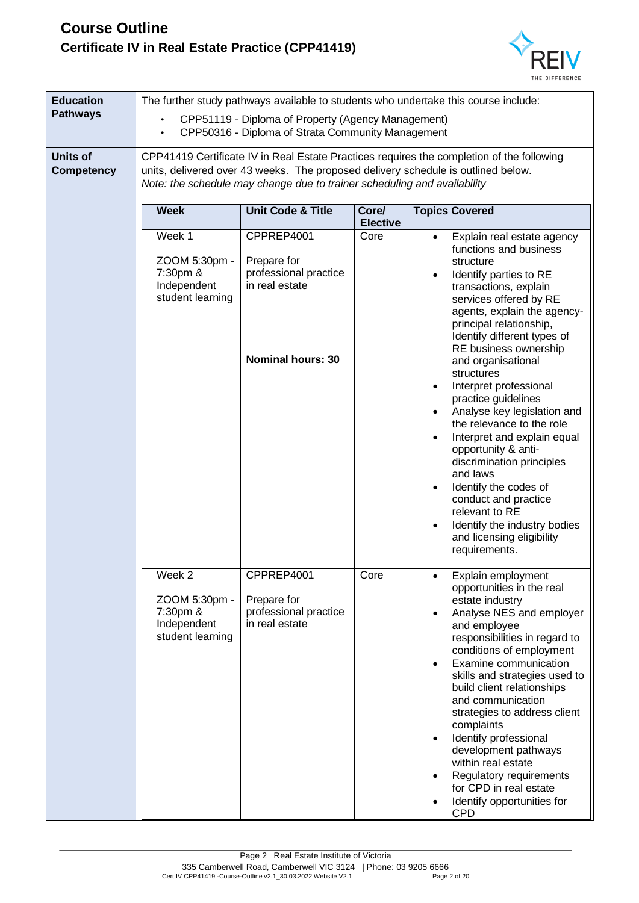

| <b>Education</b><br><b>Pathways</b>  | The further study pathways available to students who undertake this course include:<br>CPP51119 - Diploma of Property (Agency Management)<br>CPP50316 - Diploma of Strata Community Management |                                                                                                  |                          |                                                                                                                                                                                                                                                                                                                                                                                                                                                                                                                                                                                                                                                                                             |
|--------------------------------------|------------------------------------------------------------------------------------------------------------------------------------------------------------------------------------------------|--------------------------------------------------------------------------------------------------|--------------------------|---------------------------------------------------------------------------------------------------------------------------------------------------------------------------------------------------------------------------------------------------------------------------------------------------------------------------------------------------------------------------------------------------------------------------------------------------------------------------------------------------------------------------------------------------------------------------------------------------------------------------------------------------------------------------------------------|
| <b>Units of</b><br><b>Competency</b> |                                                                                                                                                                                                | Note: the schedule may change due to trainer scheduling and availability                         |                          | CPP41419 Certificate IV in Real Estate Practices requires the completion of the following<br>units, delivered over 43 weeks. The proposed delivery schedule is outlined below.                                                                                                                                                                                                                                                                                                                                                                                                                                                                                                              |
|                                      | <b>Week</b>                                                                                                                                                                                    | <b>Unit Code &amp; Title</b>                                                                     | Core/<br><b>Elective</b> | <b>Topics Covered</b>                                                                                                                                                                                                                                                                                                                                                                                                                                                                                                                                                                                                                                                                       |
|                                      | Week 1<br>ZOOM 5:30pm -<br>7:30pm &<br>Independent<br>student learning                                                                                                                         | CPPREP4001<br>Prepare for<br>professional practice<br>in real estate<br><b>Nominal hours: 30</b> | Core                     | Explain real estate agency<br>$\bullet$<br>functions and business<br>structure<br>Identify parties to RE<br>transactions, explain<br>services offered by RE<br>agents, explain the agency-<br>principal relationship,<br>Identify different types of<br>RE business ownership<br>and organisational<br>structures<br>Interpret professional<br>practice guidelines<br>Analyse key legislation and<br>$\bullet$<br>the relevance to the role<br>Interpret and explain equal<br>opportunity & anti-<br>discrimination principles<br>and laws<br>Identify the codes of<br>conduct and practice<br>relevant to RE<br>Identify the industry bodies<br>and licensing eligibility<br>requirements. |
|                                      | Week 2<br>ZOOM 5:30pm -<br>7:30pm &<br>Independent<br>student learning                                                                                                                         | CPPREP4001<br>Prepare for<br>professional practice<br>in real estate                             | Core                     | Explain employment<br>opportunities in the real<br>estate industry<br>Analyse NES and employer<br>and employee<br>responsibilities in regard to<br>conditions of employment<br>Examine communication<br>$\bullet$<br>skills and strategies used to<br>build client relationships<br>and communication<br>strategies to address client<br>complaints<br>Identify professional<br>$\bullet$<br>development pathways<br>within real estate<br>Regulatory requirements<br>for CPD in real estate<br>Identify opportunities for<br><b>CPD</b>                                                                                                                                                    |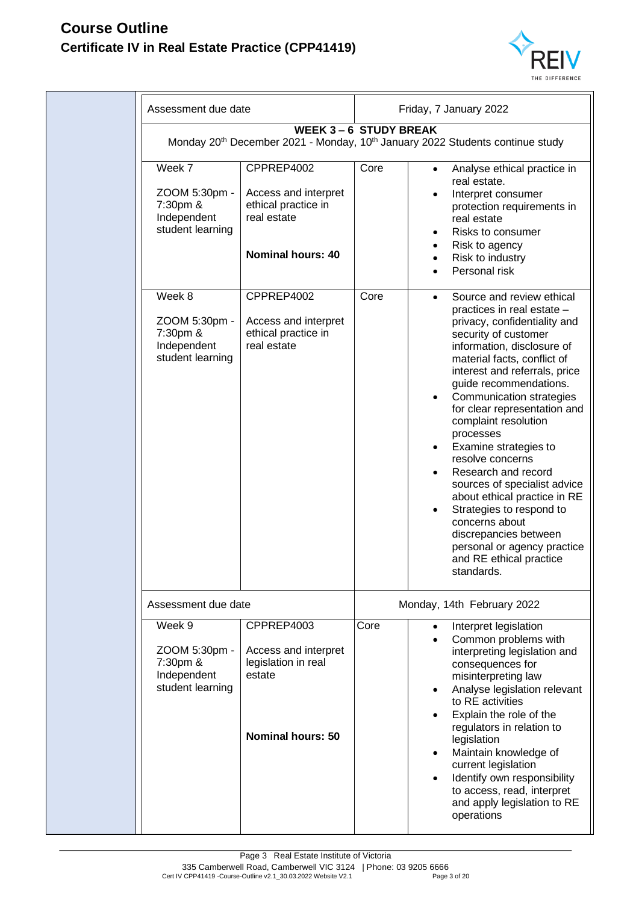

| Assessment due date                                                    |                                                                                                      | Friday, 7 January 2022 |                                                                                                                                                                                                                                                                                                                                                                                                                                                                                                                                                                                                                                          |  |
|------------------------------------------------------------------------|------------------------------------------------------------------------------------------------------|------------------------|------------------------------------------------------------------------------------------------------------------------------------------------------------------------------------------------------------------------------------------------------------------------------------------------------------------------------------------------------------------------------------------------------------------------------------------------------------------------------------------------------------------------------------------------------------------------------------------------------------------------------------------|--|
|                                                                        | <b>WEEK 3-6 STUDY BREAK</b>                                                                          |                        | Monday 20 <sup>th</sup> December 2021 - Monday, 10 <sup>th</sup> January 2022 Students continue study                                                                                                                                                                                                                                                                                                                                                                                                                                                                                                                                    |  |
| Week 7<br>ZOOM 5:30pm -<br>7:30pm &<br>Independent<br>student learning | CPPREP4002<br>Access and interpret<br>ethical practice in<br>real estate<br><b>Nominal hours: 40</b> | Core                   | Analyse ethical practice in<br>real estate.<br>Interpret consumer<br>protection requirements in<br>real estate<br>Risks to consumer<br>Risk to agency<br>Risk to industry<br>Personal risk                                                                                                                                                                                                                                                                                                                                                                                                                                               |  |
| Week 8<br>ZOOM 5:30pm -<br>7:30pm &<br>Independent<br>student learning | CPPREP4002<br>Access and interpret<br>ethical practice in<br>real estate                             | Core                   | Source and review ethical<br>practices in real estate -<br>privacy, confidentiality and<br>security of customer<br>information, disclosure of<br>material facts, conflict of<br>interest and referrals, price<br>guide recommendations.<br>Communication strategies<br>$\bullet$<br>for clear representation and<br>complaint resolution<br>processes<br>Examine strategies to<br>resolve concerns<br>Research and record<br>sources of specialist advice<br>about ethical practice in RE<br>Strategies to respond to<br>concerns about<br>discrepancies between<br>personal or agency practice<br>and RE ethical practice<br>standards. |  |
| Assessment due date                                                    |                                                                                                      |                        | Monday, 14th February 2022                                                                                                                                                                                                                                                                                                                                                                                                                                                                                                                                                                                                               |  |
| Week 9<br>ZOOM 5:30pm -<br>7:30pm &<br>Independent<br>student learning | CPPREP4003<br>Access and interpret<br>legislation in real<br>estate<br><b>Nominal hours: 50</b>      | Core                   | Interpret legislation<br>$\bullet$<br>Common problems with<br>interpreting legislation and<br>consequences for<br>misinterpreting law<br>Analyse legislation relevant<br>to RE activities<br>Explain the role of the<br>regulators in relation to<br>legislation<br>Maintain knowledge of<br>current legislation<br>Identify own responsibility<br>to access, read, interpret<br>and apply legislation to RE<br>operations                                                                                                                                                                                                               |  |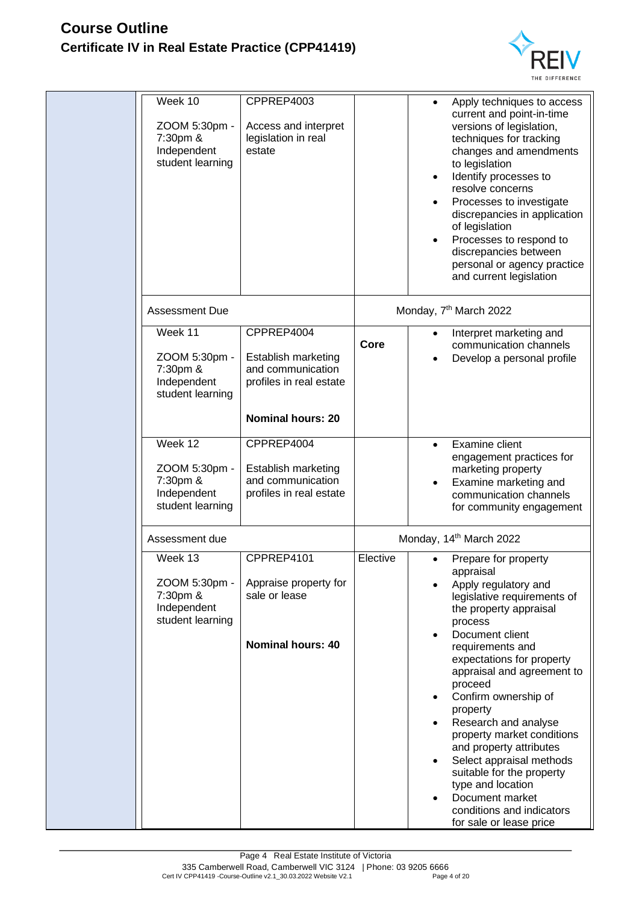

| Week 10<br>ZOOM 5:30pm -<br>7:30pm &<br>Independent<br>student learning | CPPREP4003<br>Access and interpret<br>legislation in real<br>estate                                           |          | Apply techniques to access<br>current and point-in-time<br>versions of legislation,<br>techniques for tracking<br>changes and amendments<br>to legislation<br>Identify processes to<br>resolve concerns<br>Processes to investigate<br>discrepancies in application<br>of legislation<br>Processes to respond to<br>discrepancies between<br>personal or agency practice<br>and current legislation                                                                                                                      |
|-------------------------------------------------------------------------|---------------------------------------------------------------------------------------------------------------|----------|--------------------------------------------------------------------------------------------------------------------------------------------------------------------------------------------------------------------------------------------------------------------------------------------------------------------------------------------------------------------------------------------------------------------------------------------------------------------------------------------------------------------------|
| <b>Assessment Due</b>                                                   |                                                                                                               |          | Monday, 7 <sup>th</sup> March 2022                                                                                                                                                                                                                                                                                                                                                                                                                                                                                       |
| Week 11<br>ZOOM 5:30pm -<br>7:30pm &<br>Independent<br>student learning | CPPREP4004<br>Establish marketing<br>and communication<br>profiles in real estate<br><b>Nominal hours: 20</b> | Core     | Interpret marketing and<br>communication channels<br>Develop a personal profile                                                                                                                                                                                                                                                                                                                                                                                                                                          |
| Week 12<br>ZOOM 5:30pm -<br>7:30pm &<br>Independent<br>student learning | CPPREP4004<br>Establish marketing<br>and communication<br>profiles in real estate                             |          | <b>Examine client</b><br>$\bullet$<br>engagement practices for<br>marketing property<br>Examine marketing and<br>communication channels<br>for community engagement                                                                                                                                                                                                                                                                                                                                                      |
| Assessment due                                                          |                                                                                                               |          | Monday, 14 <sup>th</sup> March 2022                                                                                                                                                                                                                                                                                                                                                                                                                                                                                      |
| Week 13<br>ZOOM 5:30pm -<br>7:30pm &<br>Independent<br>student learning | CPPREP4101<br>Appraise property for<br>sale or lease<br><b>Nominal hours: 40</b>                              | Elective | Prepare for property<br>appraisal<br>Apply regulatory and<br>legislative requirements of<br>the property appraisal<br>process<br>Document client<br>requirements and<br>expectations for property<br>appraisal and agreement to<br>proceed<br>Confirm ownership of<br>property<br>Research and analyse<br>property market conditions<br>and property attributes<br>Select appraisal methods<br>suitable for the property<br>type and location<br>Document market<br>conditions and indicators<br>for sale or lease price |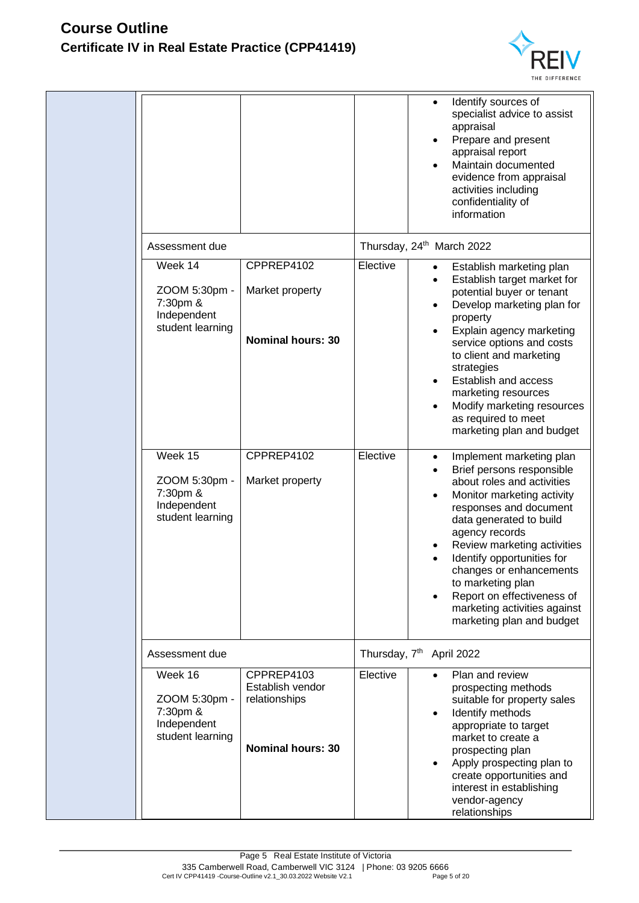

|                                                                         |                                                                             |                           | Identify sources of<br>specialist advice to assist<br>appraisal<br>Prepare and present<br>$\bullet$<br>appraisal report<br>Maintain documented<br>evidence from appraisal<br>activities including<br>confidentiality of<br>information                                                                                                                                                                        |
|-------------------------------------------------------------------------|-----------------------------------------------------------------------------|---------------------------|---------------------------------------------------------------------------------------------------------------------------------------------------------------------------------------------------------------------------------------------------------------------------------------------------------------------------------------------------------------------------------------------------------------|
| Assessment due                                                          |                                                                             |                           | Thursday, 24 <sup>th</sup> March 2022                                                                                                                                                                                                                                                                                                                                                                         |
| Week 14<br>ZOOM 5:30pm -<br>7:30pm &<br>Independent<br>student learning | CPPREP4102<br>Market property<br><b>Nominal hours: 30</b>                   | Elective                  | Establish marketing plan<br>Establish target market for<br>$\bullet$<br>potential buyer or tenant<br>Develop marketing plan for<br>$\bullet$<br>property<br>Explain agency marketing<br>service options and costs<br>to client and marketing<br>strategies<br>Establish and access<br>marketing resources<br>Modify marketing resources<br>as required to meet<br>marketing plan and budget                   |
| Week 15<br>ZOOM 5:30pm -<br>7:30pm &<br>Independent<br>student learning | CPPREP4102<br>Market property                                               | Elective                  | Implement marketing plan<br>$\bullet$<br>Brief persons responsible<br>about roles and activities<br>Monitor marketing activity<br>responses and document<br>data generated to build<br>agency records<br>Review marketing activities<br>Identify opportunities for<br>changes or enhancements<br>to marketing plan<br>Report on effectiveness of<br>marketing activities against<br>marketing plan and budget |
| Assessment due                                                          |                                                                             | Thursday, 7 <sup>th</sup> | April 2022                                                                                                                                                                                                                                                                                                                                                                                                    |
| Week 16<br>ZOOM 5:30pm -<br>7:30pm &<br>Independent<br>student learning | CPPREP4103<br>Establish vendor<br>relationships<br><b>Nominal hours: 30</b> | Elective                  | Plan and review<br>prospecting methods<br>suitable for property sales<br>Identify methods<br>appropriate to target<br>market to create a<br>prospecting plan<br>Apply prospecting plan to<br>create opportunities and<br>interest in establishing<br>vendor-agency<br>relationships                                                                                                                           |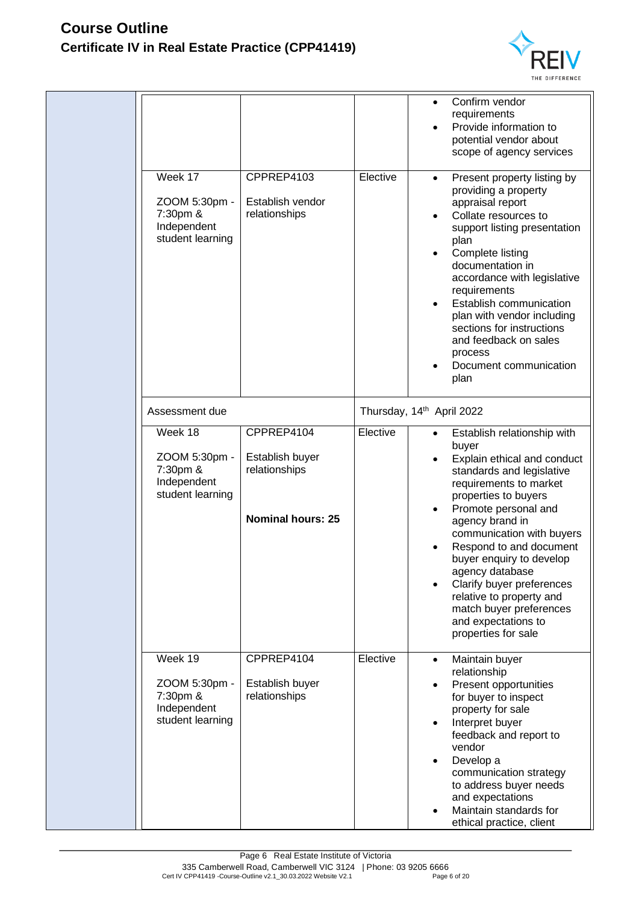

|                                                                         |                                                                            |          | Confirm vendor<br>requirements<br>Provide information to<br>potential vendor about<br>scope of agency services                                                                                                                                                                                                                                                                                                                                      |
|-------------------------------------------------------------------------|----------------------------------------------------------------------------|----------|-----------------------------------------------------------------------------------------------------------------------------------------------------------------------------------------------------------------------------------------------------------------------------------------------------------------------------------------------------------------------------------------------------------------------------------------------------|
| Week 17<br>ZOOM 5:30pm -<br>7:30pm &<br>Independent<br>student learning | CPPREP4103<br>Establish vendor<br>relationships                            | Elective | Present property listing by<br>$\bullet$<br>providing a property<br>appraisal report<br>Collate resources to<br>support listing presentation<br>plan<br>Complete listing<br>documentation in<br>accordance with legislative<br>requirements<br>Establish communication<br>plan with vendor including<br>sections for instructions<br>and feedback on sales<br>process<br>Document communication<br>plan                                             |
| Assessment due                                                          |                                                                            |          | Thursday, 14th April 2022                                                                                                                                                                                                                                                                                                                                                                                                                           |
| Week 18<br>ZOOM 5:30pm -<br>7:30pm &<br>Independent<br>student learning | CPPREP4104<br>Establish buyer<br>relationships<br><b>Nominal hours: 25</b> | Elective | Establish relationship with<br>$\bullet$<br>buyer<br>Explain ethical and conduct<br>standards and legislative<br>requirements to market<br>properties to buyers<br>Promote personal and<br>agency brand in<br>communication with buyers<br>Respond to and document<br>buyer enquiry to develop<br>agency database<br>Clarify buyer preferences<br>relative to property and<br>match buyer preferences<br>and expectations to<br>properties for sale |
| Week 19<br>ZOOM 5:30pm -<br>7:30pm &<br>Independent<br>student learning | CPPREP4104<br>Establish buyer<br>relationships                             | Elective | Maintain buyer<br>$\bullet$<br>relationship<br>Present opportunities<br>$\bullet$<br>for buyer to inspect<br>property for sale<br>Interpret buyer<br>$\bullet$<br>feedback and report to<br>vendor<br>Develop a<br>٠<br>communication strategy<br>to address buyer needs<br>and expectations<br>Maintain standards for<br>ethical practice, client                                                                                                  |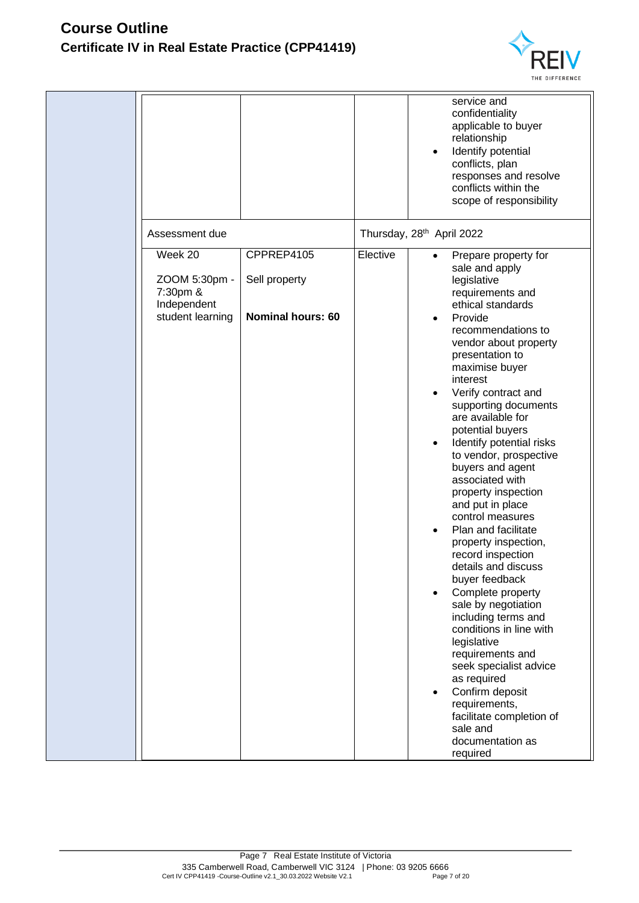

|                                                                         |                                                         |          | service and<br>confidentiality<br>applicable to buyer<br>relationship<br>Identify potential<br>$\bullet$<br>conflicts, plan<br>responses and resolve<br>conflicts within the<br>scope of responsibility                                                                                                                                                                                                                                                                                                                                                                                                                                                                                                                                                                                                                                                                                              |
|-------------------------------------------------------------------------|---------------------------------------------------------|----------|------------------------------------------------------------------------------------------------------------------------------------------------------------------------------------------------------------------------------------------------------------------------------------------------------------------------------------------------------------------------------------------------------------------------------------------------------------------------------------------------------------------------------------------------------------------------------------------------------------------------------------------------------------------------------------------------------------------------------------------------------------------------------------------------------------------------------------------------------------------------------------------------------|
| Assessment due                                                          |                                                         |          | Thursday, 28th April 2022                                                                                                                                                                                                                                                                                                                                                                                                                                                                                                                                                                                                                                                                                                                                                                                                                                                                            |
| Week 20<br>ZOOM 5:30pm -<br>7:30pm &<br>Independent<br>student learning | CPPREP4105<br>Sell property<br><b>Nominal hours: 60</b> | Elective | Prepare property for<br>$\bullet$<br>sale and apply<br>legislative<br>requirements and<br>ethical standards<br>Provide<br>٠<br>recommendations to<br>vendor about property<br>presentation to<br>maximise buyer<br>interest<br>Verify contract and<br>supporting documents<br>are available for<br>potential buyers<br>Identify potential risks<br>$\bullet$<br>to vendor, prospective<br>buyers and agent<br>associated with<br>property inspection<br>and put in place<br>control measures<br>Plan and facilitate<br>property inspection,<br>record inspection<br>details and discuss<br>buyer feedback<br>Complete property<br>sale by negotiation<br>including terms and<br>conditions in line with<br>legislative<br>requirements and<br>seek specialist advice<br>as required<br>Confirm deposit<br>٠<br>requirements,<br>facilitate completion of<br>sale and<br>documentation as<br>required |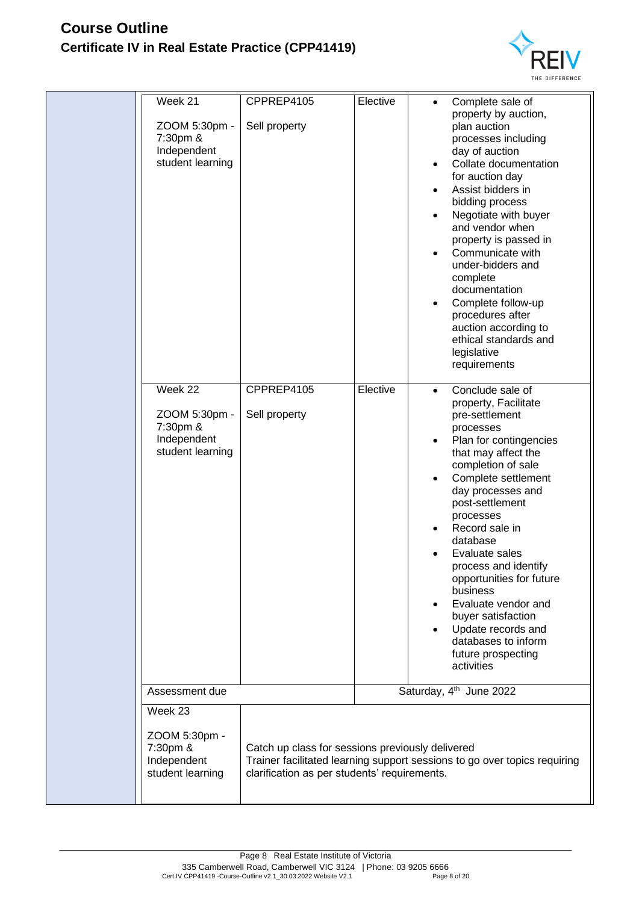

| Week 21<br>ZOOM 5:30pm -<br>7:30pm &<br>Independent<br>student learning | CPPREP4105<br>Sell property                                                                      | Elective | Complete sale of<br>property by auction,<br>plan auction<br>processes including<br>day of auction<br>Collate documentation<br>for auction day<br>Assist bidders in<br>bidding process<br>Negotiate with buyer<br>and vendor when<br>property is passed in<br>Communicate with<br>under-bidders and<br>complete<br>documentation<br>Complete follow-up<br>procedures after<br>auction according to<br>ethical standards and<br>legislative<br>requirements                             |
|-------------------------------------------------------------------------|--------------------------------------------------------------------------------------------------|----------|---------------------------------------------------------------------------------------------------------------------------------------------------------------------------------------------------------------------------------------------------------------------------------------------------------------------------------------------------------------------------------------------------------------------------------------------------------------------------------------|
| Week 22<br>ZOOM 5:30pm -<br>7:30pm &<br>Independent<br>student learning | CPPREP4105<br>Sell property                                                                      | Elective | Conclude sale of<br>$\bullet$<br>property, Facilitate<br>pre-settlement<br>processes<br>Plan for contingencies<br>that may affect the<br>completion of sale<br>Complete settlement<br>day processes and<br>post-settlement<br>processes<br>Record sale in<br>database<br>Evaluate sales<br>process and identify<br>opportunities for future<br>business<br>Evaluate vendor and<br>buyer satisfaction<br>Update records and<br>databases to inform<br>future prospecting<br>activities |
| Assessment due                                                          |                                                                                                  |          | Saturday, 4 <sup>th</sup> June 2022                                                                                                                                                                                                                                                                                                                                                                                                                                                   |
| Week 23                                                                 |                                                                                                  |          |                                                                                                                                                                                                                                                                                                                                                                                                                                                                                       |
| ZOOM 5:30pm -<br>7:30pm &<br>Independent<br>student learning            | Catch up class for sessions previously delivered<br>clarification as per students' requirements. |          | Trainer facilitated learning support sessions to go over topics requiring                                                                                                                                                                                                                                                                                                                                                                                                             |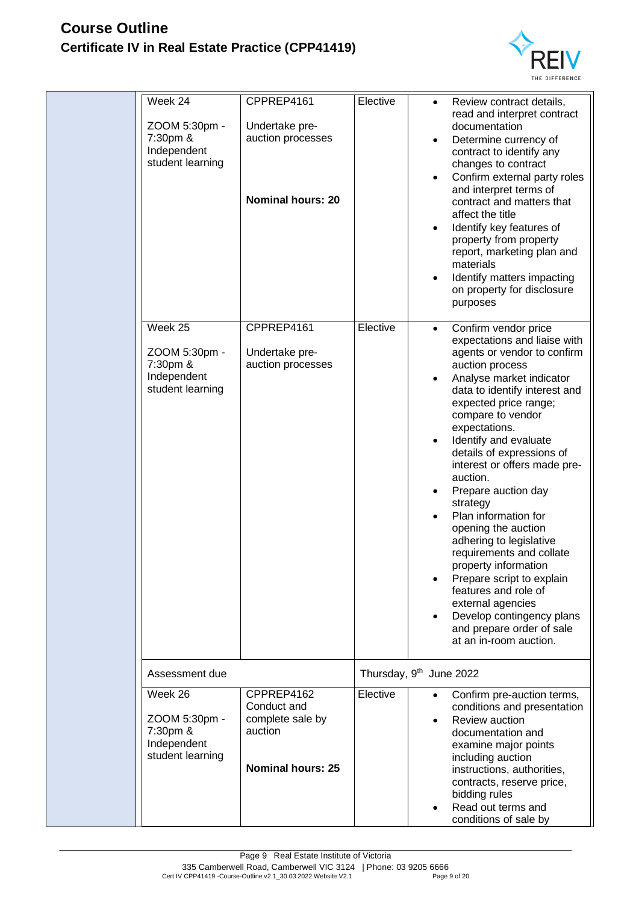

| Week 24<br>ZOOM 5:30pm -<br>7:30pm &<br>Independent<br>student learning | CPPREP4161<br>Undertake pre-<br>auction processes<br><b>Nominal hours: 20</b>        | Elective | Review contract details,<br>$\bullet$<br>read and interpret contract<br>documentation<br>Determine currency of<br>contract to identify any<br>changes to contract<br>Confirm external party roles<br>and interpret terms of<br>contract and matters that<br>affect the title<br>Identify key features of<br>property from property<br>report, marketing plan and<br>materials<br>Identify matters impacting<br>on property for disclosure<br>purposes                                                                                                                                                                                                                            |  |  |
|-------------------------------------------------------------------------|--------------------------------------------------------------------------------------|----------|----------------------------------------------------------------------------------------------------------------------------------------------------------------------------------------------------------------------------------------------------------------------------------------------------------------------------------------------------------------------------------------------------------------------------------------------------------------------------------------------------------------------------------------------------------------------------------------------------------------------------------------------------------------------------------|--|--|
| Week 25<br>ZOOM 5:30pm -<br>7:30pm &<br>Independent<br>student learning | CPPREP4161<br>Undertake pre-<br>auction processes                                    | Elective | Confirm vendor price<br>$\bullet$<br>expectations and liaise with<br>agents or vendor to confirm<br>auction process<br>Analyse market indicator<br>data to identify interest and<br>expected price range;<br>compare to vendor<br>expectations.<br>Identify and evaluate<br>details of expressions of<br>interest or offers made pre-<br>auction.<br>Prepare auction day<br>strategy<br>Plan information for<br>opening the auction<br>adhering to legislative<br>requirements and collate<br>property information<br>Prepare script to explain<br>features and role of<br>external agencies<br>Develop contingency plans<br>and prepare order of sale<br>at an in-room auction. |  |  |
| Assessment due                                                          |                                                                                      |          | Thursday, 9 <sup>th</sup> June 2022                                                                                                                                                                                                                                                                                                                                                                                                                                                                                                                                                                                                                                              |  |  |
| Week 26<br>ZOOM 5:30pm -<br>7:30pm &<br>Independent<br>student learning | CPPREP4162<br>Conduct and<br>complete sale by<br>auction<br><b>Nominal hours: 25</b> | Elective | Confirm pre-auction terms,<br>conditions and presentation<br>Review auction<br>documentation and<br>examine major points<br>including auction<br>instructions, authorities,<br>contracts, reserve price,<br>bidding rules<br>Read out terms and<br>conditions of sale by                                                                                                                                                                                                                                                                                                                                                                                                         |  |  |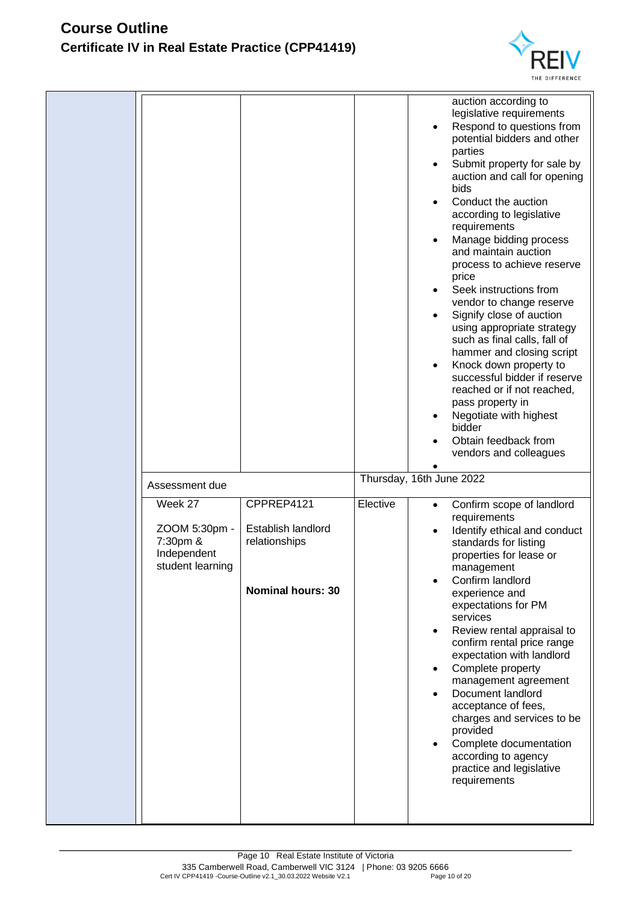

|                                                                         |                                                                               |          | auction according to<br>legislative requirements<br>Respond to questions from<br>potential bidders and other<br>parties<br>Submit property for sale by<br>$\bullet$<br>auction and call for opening<br>bids<br>Conduct the auction<br>٠<br>according to legislative<br>requirements<br>Manage bidding process<br>$\bullet$<br>and maintain auction<br>process to achieve reserve<br>price<br>Seek instructions from<br>٠<br>vendor to change reserve<br>Signify close of auction<br>using appropriate strategy<br>such as final calls, fall of<br>hammer and closing script<br>Knock down property to<br>$\bullet$<br>successful bidder if reserve<br>reached or if not reached,<br>pass property in<br>Negotiate with highest<br>٠<br>bidder<br>Obtain feedback from<br>vendors and colleagues |
|-------------------------------------------------------------------------|-------------------------------------------------------------------------------|----------|-------------------------------------------------------------------------------------------------------------------------------------------------------------------------------------------------------------------------------------------------------------------------------------------------------------------------------------------------------------------------------------------------------------------------------------------------------------------------------------------------------------------------------------------------------------------------------------------------------------------------------------------------------------------------------------------------------------------------------------------------------------------------------------------------|
| Assessment due                                                          |                                                                               |          | Thursday, 16th June 2022                                                                                                                                                                                                                                                                                                                                                                                                                                                                                                                                                                                                                                                                                                                                                                        |
| Week 27<br>ZOOM 5:30pm -<br>7:30pm &<br>Independent<br>student learning | CPPREP4121<br>Establish landlord<br>relationships<br><b>Nominal hours: 30</b> | Elective | Confirm scope of landlord<br>$\bullet$<br>requirements<br>Identify ethical and conduct<br>$\bullet$<br>standards for listing<br>properties for lease or<br>management<br>Confirm landlord<br>experience and<br>expectations for PM<br>services<br>Review rental appraisal to<br>٠<br>confirm rental price range<br>expectation with landlord<br>Complete property<br>management agreement<br>Document landlord<br>$\bullet$<br>acceptance of fees,<br>charges and services to be<br>provided<br>Complete documentation<br>$\bullet$<br>according to agency<br>practice and legislative<br>requirements                                                                                                                                                                                          |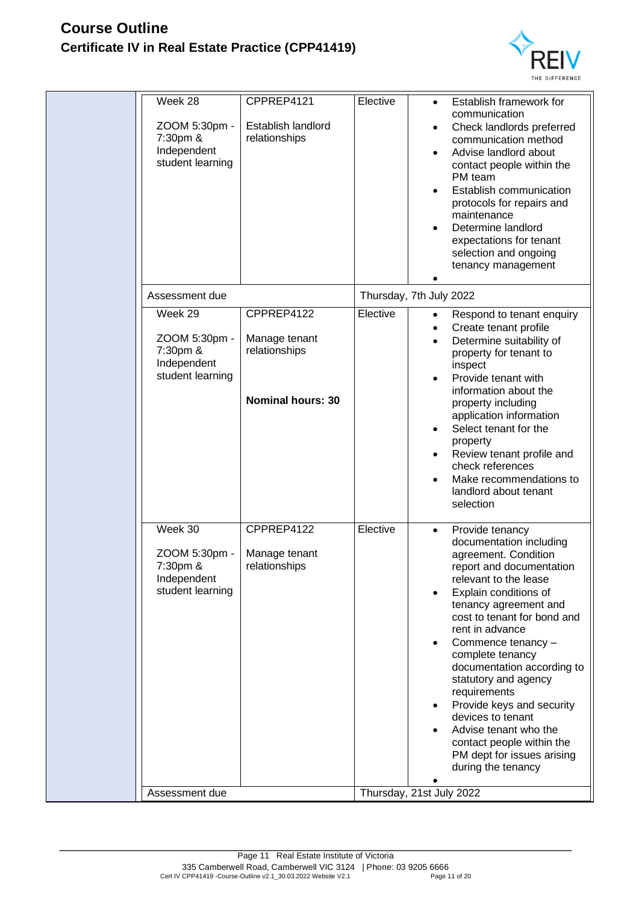

| Week 28<br>ZOOM 5:30pm -<br>7:30pm &<br>Independent<br>student learning | CPPREP4121<br>Establish landlord<br>relationships                        | Elective | Establish framework for<br>$\bullet$<br>communication<br>Check landlords preferred<br>communication method<br>Advise landlord about<br>contact people within the<br>PM team<br>Establish communication<br>protocols for repairs and<br>maintenance<br>Determine landlord<br>expectations for tenant<br>selection and ongoing<br>tenancy management                                                                                                                                                                                          |
|-------------------------------------------------------------------------|--------------------------------------------------------------------------|----------|---------------------------------------------------------------------------------------------------------------------------------------------------------------------------------------------------------------------------------------------------------------------------------------------------------------------------------------------------------------------------------------------------------------------------------------------------------------------------------------------------------------------------------------------|
| Assessment due                                                          |                                                                          |          | Thursday, 7th July 2022                                                                                                                                                                                                                                                                                                                                                                                                                                                                                                                     |
| Week 29<br>ZOOM 5:30pm -<br>7:30pm &<br>Independent<br>student learning | CPPREP4122<br>Manage tenant<br>relationships<br><b>Nominal hours: 30</b> | Elective | Respond to tenant enquiry<br>$\bullet$<br>Create tenant profile<br>٠<br>Determine suitability of<br>property for tenant to<br>inspect<br>Provide tenant with<br>information about the<br>property including<br>application information<br>Select tenant for the<br>property<br>Review tenant profile and<br>$\bullet$<br>check references<br>Make recommendations to<br>$\bullet$<br>landlord about tenant<br>selection                                                                                                                     |
| Week 30<br>ZOOM 5:30pm -<br>7:30pm &<br>Independent<br>student learning | CPPREP4122<br>Manage tenant<br>relationships                             | Elective | Provide tenancy<br>$\bullet$<br>documentation including<br>agreement. Condition<br>report and documentation<br>relevant to the lease<br>Explain conditions of<br>$\bullet$<br>tenancy agreement and<br>cost to tenant for bond and<br>rent in advance<br>Commence tenancy -<br>٠<br>complete tenancy<br>documentation according to<br>statutory and agency<br>requirements<br>Provide keys and security<br>٠<br>devices to tenant<br>Advise tenant who the<br>contact people within the<br>PM dept for issues arising<br>during the tenancy |
| Assessment due                                                          |                                                                          |          | Thursday, 21st July 2022                                                                                                                                                                                                                                                                                                                                                                                                                                                                                                                    |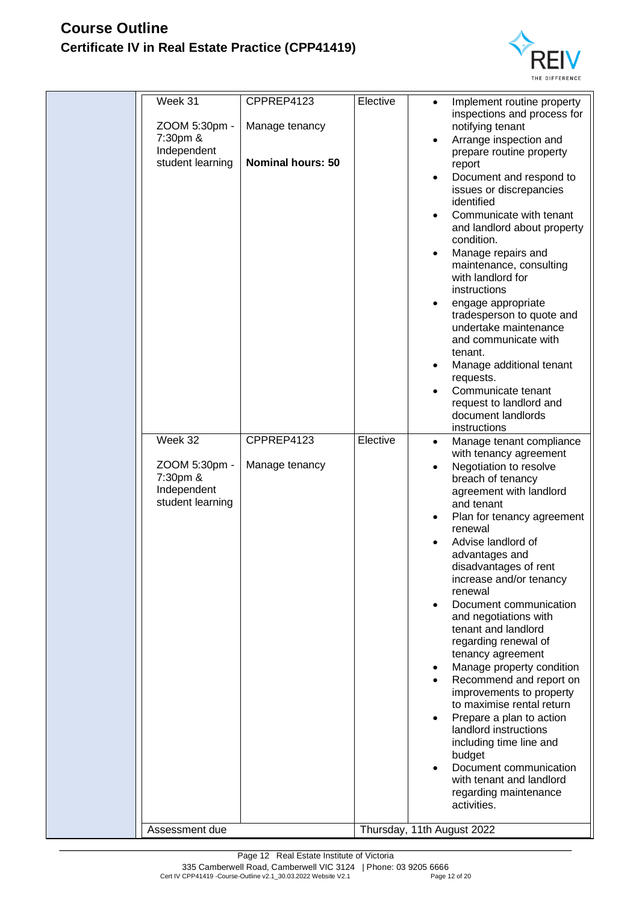

| Week 31<br>ZOOM 5:30pm -<br>7:30pm &<br>Independent<br>student learning | CPPREP4123<br>Manage tenancy<br><b>Nominal hours: 50</b> | Elective | Implement routine property<br>inspections and process for<br>notifying tenant<br>Arrange inspection and<br>$\bullet$<br>prepare routine property<br>report<br>Document and respond to<br>$\bullet$<br>issues or discrepancies<br>identified<br>Communicate with tenant<br>$\bullet$<br>and landlord about property<br>condition.<br>Manage repairs and<br>٠<br>maintenance, consulting<br>with landlord for<br>instructions<br>engage appropriate<br>tradesperson to quote and<br>undertake maintenance<br>and communicate with<br>tenant.<br>Manage additional tenant<br>requests.<br>Communicate tenant<br>٠<br>request to landlord and<br>document landlords<br>instructions                                                                                             |
|-------------------------------------------------------------------------|----------------------------------------------------------|----------|-----------------------------------------------------------------------------------------------------------------------------------------------------------------------------------------------------------------------------------------------------------------------------------------------------------------------------------------------------------------------------------------------------------------------------------------------------------------------------------------------------------------------------------------------------------------------------------------------------------------------------------------------------------------------------------------------------------------------------------------------------------------------------|
| Week 32<br>ZOOM 5:30pm -<br>7:30pm &<br>Independent<br>student learning | CPPREP4123<br>Manage tenancy                             | Elective | Manage tenant compliance<br>$\bullet$<br>with tenancy agreement<br>Negotiation to resolve<br>٠<br>breach of tenancy<br>agreement with landlord<br>and tenant<br>Plan for tenancy agreement<br>٠<br>renewal<br>Advise landlord of<br>advantages and<br>disadvantages of rent<br>increase and/or tenancy<br>renewal<br>Document communication<br>and negotiations with<br>tenant and landlord<br>regarding renewal of<br>tenancy agreement<br>Manage property condition<br>$\bullet$<br>Recommend and report on<br>$\bullet$<br>improvements to property<br>to maximise rental return<br>Prepare a plan to action<br>landlord instructions<br>including time line and<br>budget<br>Document communication<br>with tenant and landlord<br>regarding maintenance<br>activities. |
| Assessment due                                                          |                                                          |          | Thursday, 11th August 2022                                                                                                                                                                                                                                                                                                                                                                                                                                                                                                                                                                                                                                                                                                                                                  |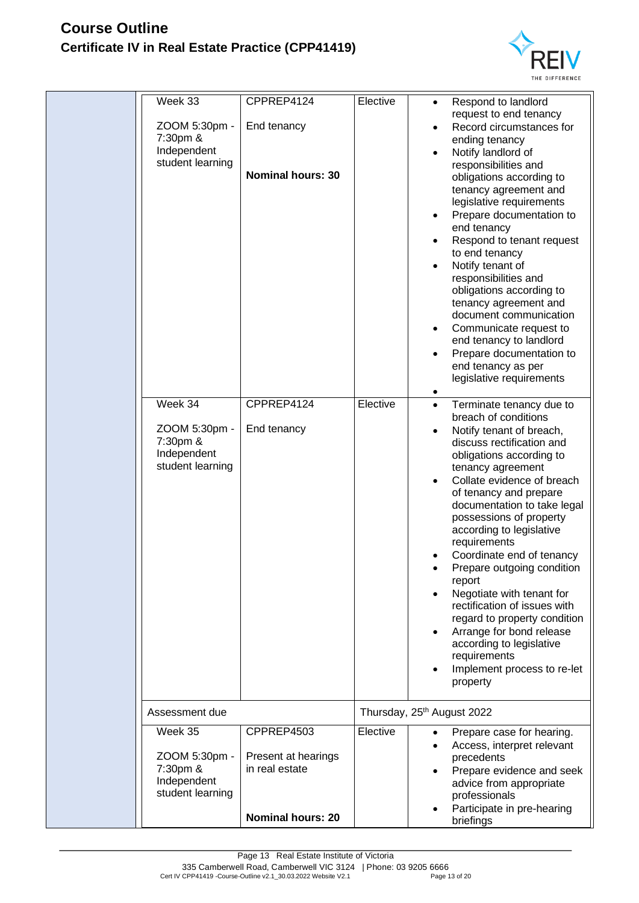

| Week 33<br>ZOOM 5:30pm -<br>7:30pm &<br>Independent<br>student learning<br>Week 34<br>ZOOM 5:30pm -<br>7:30pm &<br>Independent<br>student learning | CPPREP4124<br>End tenancy<br><b>Nominal hours: 30</b><br>CPPREP4124<br>End tenancy | Elective<br>Elective | Respond to landlord<br>$\bullet$<br>request to end tenancy<br>Record circumstances for<br>ending tenancy<br>Notify landlord of<br>responsibilities and<br>obligations according to<br>tenancy agreement and<br>legislative requirements<br>Prepare documentation to<br>end tenancy<br>Respond to tenant request<br>to end tenancy<br>Notify tenant of<br>responsibilities and<br>obligations according to<br>tenancy agreement and<br>document communication<br>Communicate request to<br>end tenancy to landlord<br>Prepare documentation to<br>end tenancy as per<br>legislative requirements<br>Terminate tenancy due to<br>$\bullet$<br>breach of conditions<br>Notify tenant of breach,<br>discuss rectification and<br>obligations according to<br>tenancy agreement<br>Collate evidence of breach<br>of tenancy and prepare<br>documentation to take legal<br>possessions of property<br>according to legislative<br>requirements<br>Coordinate end of tenancy<br>Prepare outgoing condition<br>report<br>Negotiate with tenant for<br>rectification of issues with<br>regard to property condition<br>Arrange for bond release<br>according to legislative<br>requirements<br>Implement process to re-let<br>property |
|----------------------------------------------------------------------------------------------------------------------------------------------------|------------------------------------------------------------------------------------|----------------------|-------------------------------------------------------------------------------------------------------------------------------------------------------------------------------------------------------------------------------------------------------------------------------------------------------------------------------------------------------------------------------------------------------------------------------------------------------------------------------------------------------------------------------------------------------------------------------------------------------------------------------------------------------------------------------------------------------------------------------------------------------------------------------------------------------------------------------------------------------------------------------------------------------------------------------------------------------------------------------------------------------------------------------------------------------------------------------------------------------------------------------------------------------------------------------------------------------------------------------|
| Assessment due                                                                                                                                     |                                                                                    |                      | Thursday, 25 <sup>th</sup> August 2022                                                                                                                                                                                                                                                                                                                                                                                                                                                                                                                                                                                                                                                                                                                                                                                                                                                                                                                                                                                                                                                                                                                                                                                        |
| Week 35                                                                                                                                            | CPPREP4503                                                                         | Elective             | Prepare case for hearing.<br>Access, interpret relevant                                                                                                                                                                                                                                                                                                                                                                                                                                                                                                                                                                                                                                                                                                                                                                                                                                                                                                                                                                                                                                                                                                                                                                       |
| ZOOM 5:30pm -<br>7:30pm &<br>Independent<br>student learning                                                                                       | Present at hearings<br>in real estate<br><b>Nominal hours: 20</b>                  |                      | precedents<br>Prepare evidence and seek<br>advice from appropriate<br>professionals<br>Participate in pre-hearing                                                                                                                                                                                                                                                                                                                                                                                                                                                                                                                                                                                                                                                                                                                                                                                                                                                                                                                                                                                                                                                                                                             |
|                                                                                                                                                    |                                                                                    |                      | briefings                                                                                                                                                                                                                                                                                                                                                                                                                                                                                                                                                                                                                                                                                                                                                                                                                                                                                                                                                                                                                                                                                                                                                                                                                     |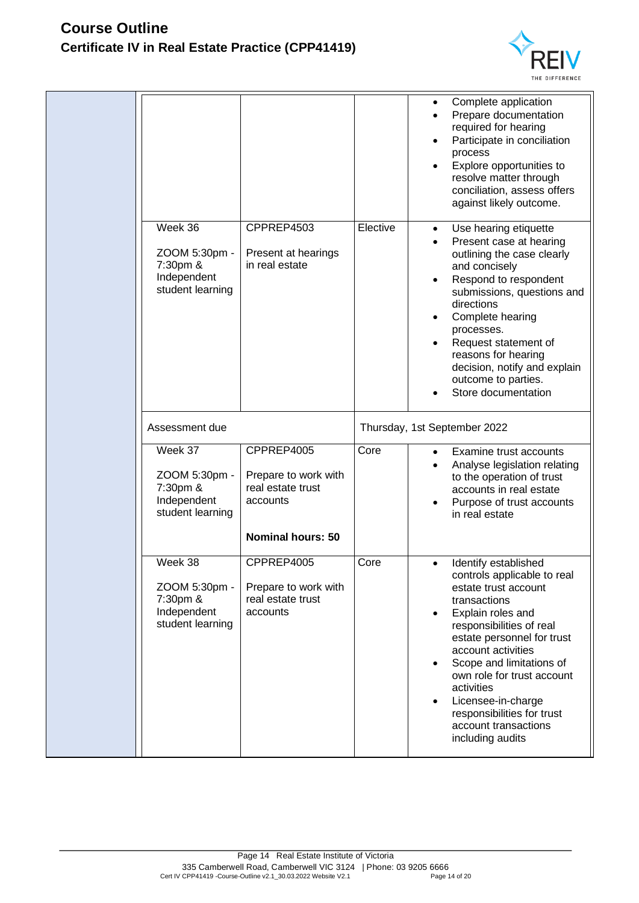

|                                                                         |                                                                                                 |          | Complete application<br>٠<br>Prepare documentation<br>$\bullet$<br>required for hearing<br>Participate in conciliation<br>$\bullet$<br>process<br>Explore opportunities to<br>resolve matter through<br>conciliation, assess offers<br>against likely outcome.                                                                                                                                                  |
|-------------------------------------------------------------------------|-------------------------------------------------------------------------------------------------|----------|-----------------------------------------------------------------------------------------------------------------------------------------------------------------------------------------------------------------------------------------------------------------------------------------------------------------------------------------------------------------------------------------------------------------|
| Week 36<br>ZOOM 5:30pm -<br>7:30pm &<br>Independent<br>student learning | CPPREP4503<br>Present at hearings<br>in real estate                                             | Elective | Use hearing etiquette<br>$\bullet$<br>Present case at hearing<br>$\bullet$<br>outlining the case clearly<br>and concisely<br>Respond to respondent<br>submissions, questions and<br>directions<br>Complete hearing<br>٠<br>processes.<br>Request statement of<br>reasons for hearing<br>decision, notify and explain<br>outcome to parties.<br>Store documentation                                              |
| Assessment due                                                          |                                                                                                 |          | Thursday, 1st September 2022                                                                                                                                                                                                                                                                                                                                                                                    |
| Week 37<br>ZOOM 5:30pm -<br>7:30pm &<br>Independent<br>student learning | CPPREP4005<br>Prepare to work with<br>real estate trust<br>accounts<br><b>Nominal hours: 50</b> | Core     | Examine trust accounts<br>$\bullet$<br>Analyse legislation relating<br>to the operation of trust<br>accounts in real estate<br>Purpose of trust accounts<br>in real estate                                                                                                                                                                                                                                      |
| Week 38<br>ZOOM 5:30pm -<br>7:30pm &<br>Independent<br>student learning | CPPREP4005<br>Prepare to work with<br>real estate trust<br>accounts                             | Core     | Identify established<br>$\bullet$<br>controls applicable to real<br>estate trust account<br>transactions<br>Explain roles and<br>responsibilities of real<br>estate personnel for trust<br>account activities<br>Scope and limitations of<br>$\bullet$<br>own role for trust account<br>activities<br>Licensee-in-charge<br>$\bullet$<br>responsibilities for trust<br>account transactions<br>including audits |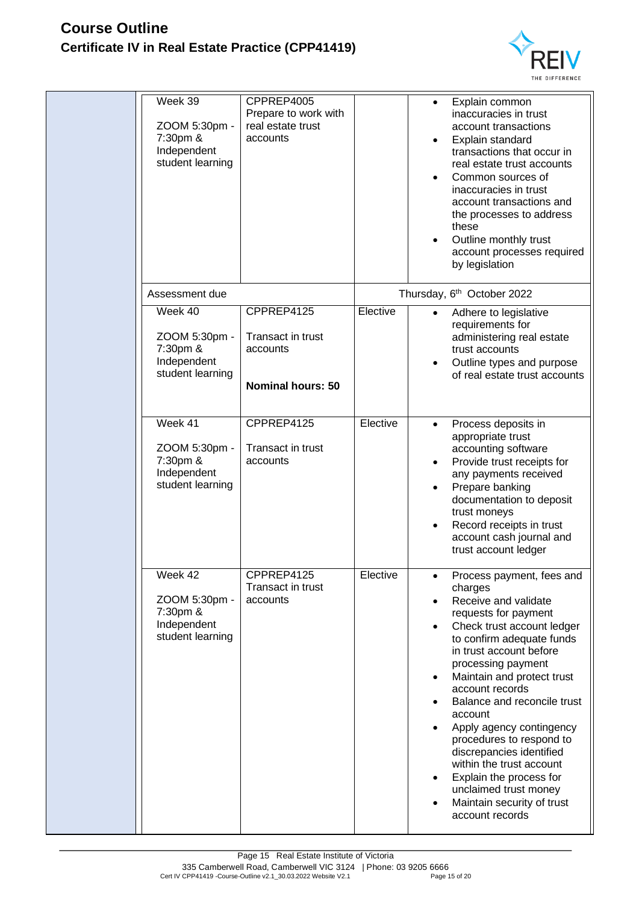

| Week 39<br>ZOOM 5:30pm -<br>7:30pm &<br>Independent<br>student learning | CPPREP4005<br>Prepare to work with<br>real estate trust<br>accounts     |          | Explain common<br>$\bullet$<br>inaccuracies in trust<br>account transactions<br>Explain standard<br>transactions that occur in<br>real estate trust accounts<br>Common sources of<br>inaccuracies in trust<br>account transactions and<br>the processes to address<br>these<br>Outline monthly trust<br>account processes required<br>by legislation                                                                                                                                                                                                                                   |
|-------------------------------------------------------------------------|-------------------------------------------------------------------------|----------|----------------------------------------------------------------------------------------------------------------------------------------------------------------------------------------------------------------------------------------------------------------------------------------------------------------------------------------------------------------------------------------------------------------------------------------------------------------------------------------------------------------------------------------------------------------------------------------|
| Assessment due                                                          |                                                                         |          | Thursday, 6 <sup>th</sup> October 2022                                                                                                                                                                                                                                                                                                                                                                                                                                                                                                                                                 |
| Week 40<br>ZOOM 5:30pm -<br>7:30pm &<br>Independent<br>student learning | CPPREP4125<br>Transact in trust<br>accounts<br><b>Nominal hours: 50</b> | Elective | Adhere to legislative<br>$\bullet$<br>requirements for<br>administering real estate<br>trust accounts<br>Outline types and purpose<br>of real estate trust accounts                                                                                                                                                                                                                                                                                                                                                                                                                    |
| Week 41<br>ZOOM 5:30pm -<br>7:30pm &<br>Independent<br>student learning | CPPREP4125<br>Transact in trust<br>accounts                             | Elective | Process deposits in<br>$\bullet$<br>appropriate trust<br>accounting software<br>Provide trust receipts for<br>any payments received<br>Prepare banking<br>documentation to deposit<br>trust moneys<br>Record receipts in trust<br>$\bullet$<br>account cash journal and<br>trust account ledger                                                                                                                                                                                                                                                                                        |
| Week 42<br>ZOOM 5:30pm -<br>7:30pm &<br>Independent<br>student learning | CPPREP4125<br>Transact in trust<br>accounts                             | Elective | Process payment, fees and<br>charges<br>Receive and validate<br>$\bullet$<br>requests for payment<br>Check trust account ledger<br>$\bullet$<br>to confirm adequate funds<br>in trust account before<br>processing payment<br>Maintain and protect trust<br>$\bullet$<br>account records<br>Balance and reconcile trust<br>$\bullet$<br>account<br>Apply agency contingency<br>$\bullet$<br>procedures to respond to<br>discrepancies identified<br>within the trust account<br>Explain the process for<br>٠<br>unclaimed trust money<br>Maintain security of trust<br>account records |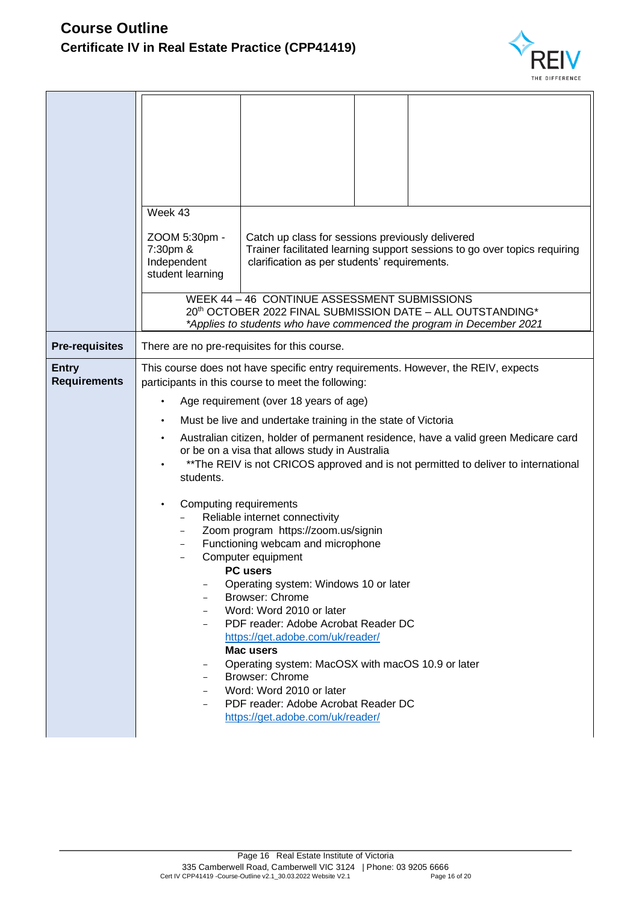

|                                     | Week 43<br>ZOOM 5:30pm -<br>Catch up class for sessions previously delivered<br>Trainer facilitated learning support sessions to go over topics requiring<br>7:30pm &<br>Independent<br>clarification as per students' requirements.<br>student learning<br>WEEK 44 - 46 CONTINUE ASSESSMENT SUBMISSIONS                                                                                                                                                                                                                                                          |
|-------------------------------------|-------------------------------------------------------------------------------------------------------------------------------------------------------------------------------------------------------------------------------------------------------------------------------------------------------------------------------------------------------------------------------------------------------------------------------------------------------------------------------------------------------------------------------------------------------------------|
|                                     | 20th OCTOBER 2022 FINAL SUBMISSION DATE - ALL OUTSTANDING*<br>*Applies to students who have commenced the program in December 2021                                                                                                                                                                                                                                                                                                                                                                                                                                |
| <b>Pre-requisites</b>               | There are no pre-requisites for this course.                                                                                                                                                                                                                                                                                                                                                                                                                                                                                                                      |
| <b>Entry</b><br><b>Requirements</b> | This course does not have specific entry requirements. However, the REIV, expects<br>participants in this course to meet the following:<br>Age requirement (over 18 years of age)<br>Must be live and undertake training in the state of Victoria<br>Australian citizen, holder of permanent residence, have a valid green Medicare card<br>or be on a visa that allows study in Australia<br>** The REIV is not CRICOS approved and is not permitted to deliver to international<br>students.                                                                    |
|                                     | Computing requirements<br>Reliable internet connectivity<br>Zoom program https://zoom.us/signin<br>Functioning webcam and microphone<br>Computer equipment<br><b>PC</b> users<br>Operating system: Windows 10 or later<br><b>Browser: Chrome</b><br>Word: Word 2010 or later<br>PDF reader: Adobe Acrobat Reader DC<br>https://get.adobe.com/uk/reader/<br><b>Mac users</b><br>Operating system: MacOSX with macOS 10.9 or later<br><b>Browser: Chrome</b><br>Word: Word 2010 or later<br>PDF reader: Adobe Acrobat Reader DC<br>https://get.adobe.com/uk/reader/ |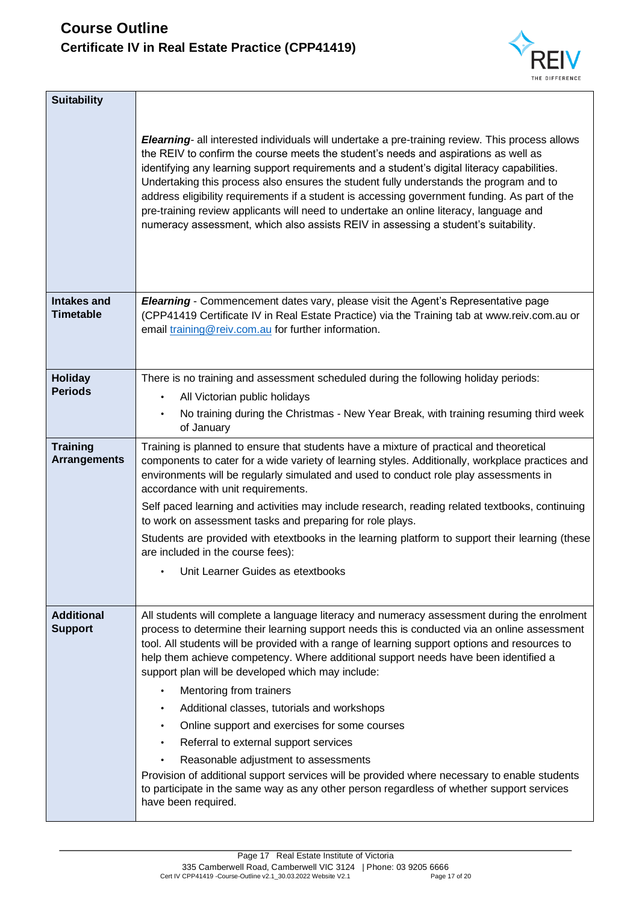

| <b>Suitability</b>                     | Elearning- all interested individuals will undertake a pre-training review. This process allows<br>the REIV to confirm the course meets the student's needs and aspirations as well as<br>identifying any learning support requirements and a student's digital literacy capabilities.<br>Undertaking this process also ensures the student fully understands the program and to<br>address eligibility requirements if a student is accessing government funding. As part of the<br>pre-training review applicants will need to undertake an online literacy, language and<br>numeracy assessment, which also assists REIV in assessing a student's suitability. |
|----------------------------------------|-------------------------------------------------------------------------------------------------------------------------------------------------------------------------------------------------------------------------------------------------------------------------------------------------------------------------------------------------------------------------------------------------------------------------------------------------------------------------------------------------------------------------------------------------------------------------------------------------------------------------------------------------------------------|
| <b>Intakes and</b><br>Timetable        | <b>Elearning</b> - Commencement dates vary, please visit the Agent's Representative page<br>(CPP41419 Certificate IV in Real Estate Practice) via the Training tab at www.reiv.com.au or<br>email training@reiv.com.au for further information.                                                                                                                                                                                                                                                                                                                                                                                                                   |
| <b>Holiday</b><br><b>Periods</b>       | There is no training and assessment scheduled during the following holiday periods:                                                                                                                                                                                                                                                                                                                                                                                                                                                                                                                                                                               |
|                                        | All Victorian public holidays<br>$\bullet$                                                                                                                                                                                                                                                                                                                                                                                                                                                                                                                                                                                                                        |
|                                        | No training during the Christmas - New Year Break, with training resuming third week<br>$\bullet$<br>of January                                                                                                                                                                                                                                                                                                                                                                                                                                                                                                                                                   |
| <b>Training</b><br><b>Arrangements</b> | Training is planned to ensure that students have a mixture of practical and theoretical<br>components to cater for a wide variety of learning styles. Additionally, workplace practices and<br>environments will be regularly simulated and used to conduct role play assessments in<br>accordance with unit requirements.<br>Self paced learning and activities may include research, reading related textbooks, continuing<br>to work on assessment tasks and preparing for role plays.                                                                                                                                                                         |
|                                        | Students are provided with etextbooks in the learning platform to support their learning (these<br>are included in the course fees):                                                                                                                                                                                                                                                                                                                                                                                                                                                                                                                              |
|                                        | Unit Learner Guides as etextbooks                                                                                                                                                                                                                                                                                                                                                                                                                                                                                                                                                                                                                                 |
| <b>Additional</b><br><b>Support</b>    | All students will complete a language literacy and numeracy assessment during the enrolment<br>process to determine their learning support needs this is conducted via an online assessment<br>tool. All students will be provided with a range of learning support options and resources to<br>help them achieve competency. Where additional support needs have been identified a<br>support plan will be developed which may include:<br>Mentoring from trainers<br>Additional classes, tutorials and workshops<br>Online support and exercises for some courses<br>$\bullet$                                                                                  |
|                                        | Referral to external support services                                                                                                                                                                                                                                                                                                                                                                                                                                                                                                                                                                                                                             |
|                                        | Reasonable adjustment to assessments                                                                                                                                                                                                                                                                                                                                                                                                                                                                                                                                                                                                                              |
|                                        | Provision of additional support services will be provided where necessary to enable students<br>to participate in the same way as any other person regardless of whether support services<br>have been required.                                                                                                                                                                                                                                                                                                                                                                                                                                                  |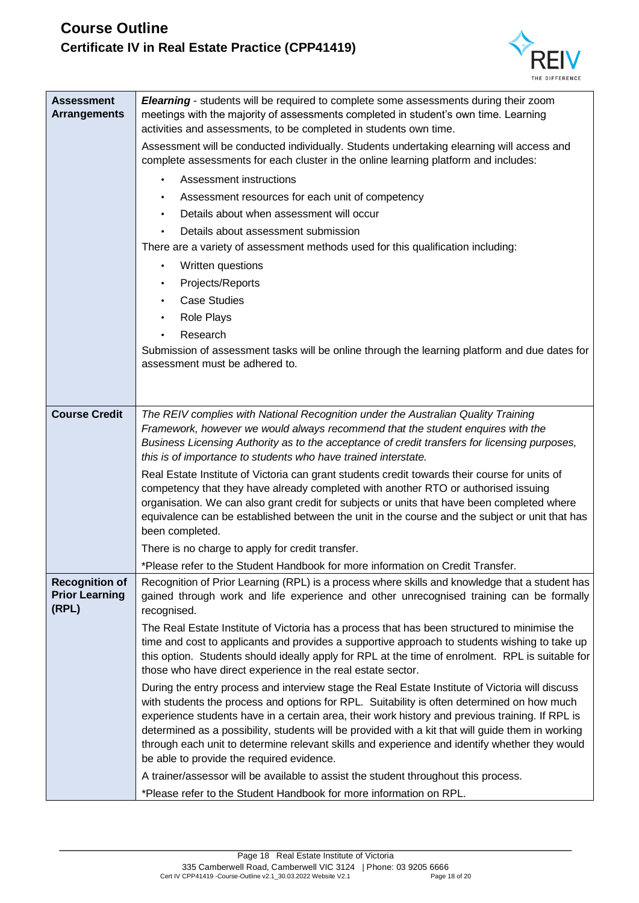

| <b>Assessment</b><br><b>Arrangements</b>                | Elearning - students will be required to complete some assessments during their zoom<br>meetings with the majority of assessments completed in student's own time. Learning<br>activities and assessments, to be completed in students own time.<br>Assessment will be conducted individually. Students undertaking elearning will access and<br>complete assessments for each cluster in the online learning platform and includes:<br>Assessment instructions<br>Assessment resources for each unit of competency<br>$\bullet$<br>Details about when assessment will occur<br>Details about assessment submission<br>There are a variety of assessment methods used for this qualification including:<br>Written questions<br>$\bullet$<br>Projects/Reports<br><b>Case Studies</b><br>$\bullet$<br>Role Plays<br>Research<br>Submission of assessment tasks will be online through the learning platform and due dates for<br>assessment must be adhered to. |
|---------------------------------------------------------|----------------------------------------------------------------------------------------------------------------------------------------------------------------------------------------------------------------------------------------------------------------------------------------------------------------------------------------------------------------------------------------------------------------------------------------------------------------------------------------------------------------------------------------------------------------------------------------------------------------------------------------------------------------------------------------------------------------------------------------------------------------------------------------------------------------------------------------------------------------------------------------------------------------------------------------------------------------|
| <b>Course Credit</b>                                    | The REIV complies with National Recognition under the Australian Quality Training<br>Framework, however we would always recommend that the student enquires with the<br>Business Licensing Authority as to the acceptance of credit transfers for licensing purposes,                                                                                                                                                                                                                                                                                                                                                                                                                                                                                                                                                                                                                                                                                          |
|                                                         | this is of importance to students who have trained interstate.<br>Real Estate Institute of Victoria can grant students credit towards their course for units of<br>competency that they have already completed with another RTO or authorised issuing<br>organisation. We can also grant credit for subjects or units that have been completed where<br>equivalence can be established between the unit in the course and the subject or unit that has<br>been completed.                                                                                                                                                                                                                                                                                                                                                                                                                                                                                      |
|                                                         | There is no charge to apply for credit transfer.                                                                                                                                                                                                                                                                                                                                                                                                                                                                                                                                                                                                                                                                                                                                                                                                                                                                                                               |
|                                                         | *Please refer to the Student Handbook for more information on Credit Transfer.                                                                                                                                                                                                                                                                                                                                                                                                                                                                                                                                                                                                                                                                                                                                                                                                                                                                                 |
| <b>Recognition of</b><br><b>Prior Learning</b><br>(RPL) | Recognition of Prior Learning (RPL) is a process where skills and knowledge that a student has<br>gained through work and life experience and other unrecognised training can be formally<br>recognised.                                                                                                                                                                                                                                                                                                                                                                                                                                                                                                                                                                                                                                                                                                                                                       |
|                                                         | The Real Estate Institute of Victoria has a process that has been structured to minimise the<br>time and cost to applicants and provides a supportive approach to students wishing to take up<br>this option. Students should ideally apply for RPL at the time of enrolment. RPL is suitable for<br>those who have direct experience in the real estate sector.                                                                                                                                                                                                                                                                                                                                                                                                                                                                                                                                                                                               |
|                                                         | During the entry process and interview stage the Real Estate Institute of Victoria will discuss<br>with students the process and options for RPL. Suitability is often determined on how much<br>experience students have in a certain area, their work history and previous training. If RPL is<br>determined as a possibility, students will be provided with a kit that will guide them in working<br>through each unit to determine relevant skills and experience and identify whether they would<br>be able to provide the required evidence.                                                                                                                                                                                                                                                                                                                                                                                                            |
|                                                         | A trainer/assessor will be available to assist the student throughout this process.<br>*Please refer to the Student Handbook for more information on RPL.                                                                                                                                                                                                                                                                                                                                                                                                                                                                                                                                                                                                                                                                                                                                                                                                      |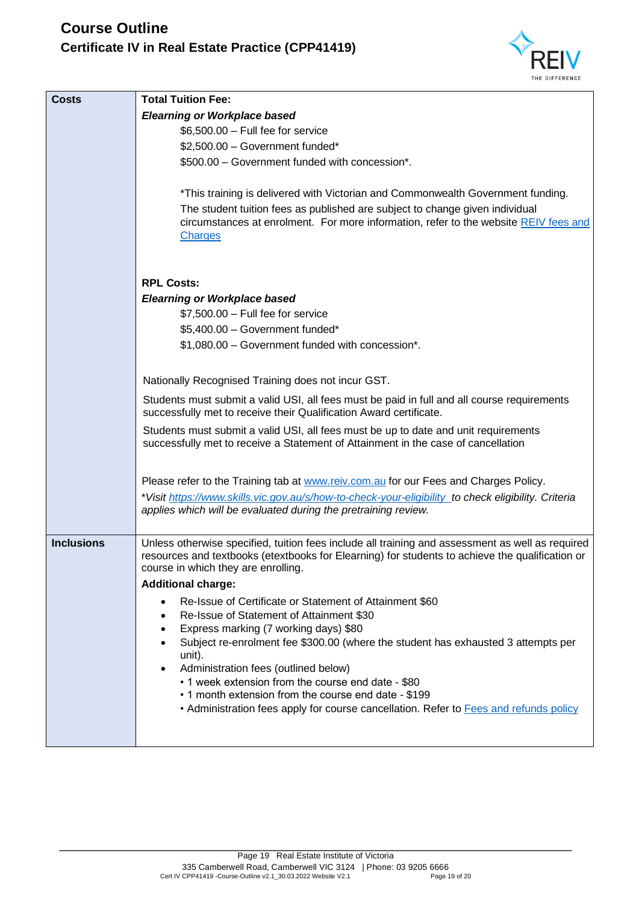

| <b>Costs</b>      | <b>Total Tuition Fee:</b>                                                                                                                                                                                                                  |
|-------------------|--------------------------------------------------------------------------------------------------------------------------------------------------------------------------------------------------------------------------------------------|
|                   | <b>Elearning or Workplace based</b>                                                                                                                                                                                                        |
|                   | $$6,500.00 - Full fee for service$                                                                                                                                                                                                         |
|                   | \$2,500.00 - Government funded*                                                                                                                                                                                                            |
|                   | \$500.00 - Government funded with concession*.                                                                                                                                                                                             |
|                   |                                                                                                                                                                                                                                            |
|                   | *This training is delivered with Victorian and Commonwealth Government funding.                                                                                                                                                            |
|                   | The student tuition fees as published are subject to change given individual<br>circumstances at enrolment. For more information, refer to the website REIV fees and                                                                       |
|                   | <b>Charges</b>                                                                                                                                                                                                                             |
|                   |                                                                                                                                                                                                                                            |
|                   |                                                                                                                                                                                                                                            |
|                   | <b>RPL Costs:</b>                                                                                                                                                                                                                          |
|                   | <b>Elearning or Workplace based</b>                                                                                                                                                                                                        |
|                   | $$7,500.00 - Full fee for service$                                                                                                                                                                                                         |
|                   | \$5,400.00 - Government funded*                                                                                                                                                                                                            |
|                   | \$1,080.00 - Government funded with concession*.                                                                                                                                                                                           |
|                   | Nationally Recognised Training does not incur GST.                                                                                                                                                                                         |
|                   | Students must submit a valid USI, all fees must be paid in full and all course requirements<br>successfully met to receive their Qualification Award certificate.                                                                          |
|                   | Students must submit a valid USI, all fees must be up to date and unit requirements<br>successfully met to receive a Statement of Attainment in the case of cancellation                                                                   |
|                   | Please refer to the Training tab at www.reiv.com.au for our Fees and Charges Policy.                                                                                                                                                       |
|                   | *Visit https://www.skills.vic.gov.au/s/how-to-check-your-eligibility to check eligibility. Criteria                                                                                                                                        |
|                   | applies which will be evaluated during the pretraining review.                                                                                                                                                                             |
|                   |                                                                                                                                                                                                                                            |
| <b>Inclusions</b> | Unless otherwise specified, tuition fees include all training and assessment as well as required<br>resources and textbooks (etextbooks for Elearning) for students to achieve the qualification or<br>course in which they are enrolling. |
|                   | <b>Additional charge:</b>                                                                                                                                                                                                                  |
|                   | Re-Issue of Certificate or Statement of Attainment \$60                                                                                                                                                                                    |
|                   | Re-Issue of Statement of Attainment \$30                                                                                                                                                                                                   |
|                   | Express marking (7 working days) \$80                                                                                                                                                                                                      |
|                   | Subject re-enrolment fee \$300.00 (where the student has exhausted 3 attempts per<br>unit).                                                                                                                                                |
|                   | Administration fees (outlined below)                                                                                                                                                                                                       |
|                   | • 1 week extension from the course end date - \$80                                                                                                                                                                                         |
|                   | • 1 month extension from the course end date - \$199                                                                                                                                                                                       |
|                   | • Administration fees apply for course cancellation. Refer to Fees and refunds policy                                                                                                                                                      |
|                   |                                                                                                                                                                                                                                            |